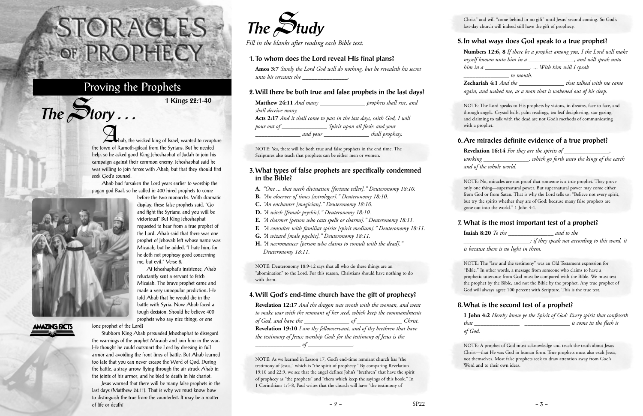**Ahab, the wicked king of Israel, wanted to recapture** the town of Ramoth-gilead from the Syrians. But he needed help, so he asked good King Jehoshaphat of Judah to join his campaign against their common enemy. Jehoshaphat said he was willing to join forces with Ahab, but that they should first seek God's counsel.

Ahab had forsaken the Lord years earlier to worship the pagan god Baal, so he called in 400 hired prophets to come



 $The$  $S$ **tory** ...

**AMAZING FACTS** lone prophet of the Lord?

before the two monarchs. With dramatic display, these false prophets said, "Go and fight the Syrians, and you will be victorious!" But King Jehoshaphat requested to hear from a true prophet of the Lord. Ahab said that there was one prophet of Jehovah left whose name was Micaiah, but he added, "I hate him; for he doth not prophesy good concerning me, but evil." Verse 8.

At Jehoshaphat's insistence, Ahab reluctantly sent a servant to fetch Micaiah. The brave prophet came and made a very unpopular prediction. He told Ahab that he would die in the battle with Syria. Now Ahab faced a tough decision. Should he believe 400 prophets who say nice things, or one

Stubborn King Ahab persuaded Jehoshaphat to disregard the warnings of the prophet Micaiah and join him in the war. He thought he could outsmart the Lord by dressing in full armor and avoiding the front lines of battle. But Ahab learned too late that you can never escape the Word of God. During the battle, a stray arrow flying through the air struck Ahab in the joints of his armor, and he bled to death in his chariot.

Jesus warned that there will be many false prophets in the last days (Matthew 24:11). That is why we must know how to distinguish the true from the counterfeit. It may be a matter of life or death!

# STORACLES OF PROPHECY

## Proving the Prophets

**1 Kings 22:1-40**



*Fill in the blanks after reading each Bible text.*

#### **1. To whom does the Lord reveal His final plans?**

**Amos 3:7** *Surely the Lord God will do nothing, but he revealeth his secret unto his servants the \_\_\_\_\_\_\_\_\_\_\_\_\_\_\_.*

#### **2. Will there be both true and false prophets in the last days?**

**Matthew 24:11** *And many \_\_\_\_\_\_\_\_\_\_\_\_\_\_\_ prophets shall rise, and shall deceive many.* **Acts 2:17** *And it shall come to pass in the last days, saith God, I will pour out of \_\_\_\_\_\_\_\_\_\_\_\_\_\_\_ Spirit upon all flesh: and your \_\_\_\_\_\_\_\_\_\_\_\_\_\_\_ and your \_\_\_\_\_\_\_\_\_\_\_\_\_\_\_ shall prophesy.*

NOTE: Yes, there will be both true and false prophets in the end time. The Scriptures also teach that prophets can be either men or women.

#### **3. What types of false prophets are specifically condemned in the Bible?**

- **A.** *"One ... that useth divination [fortune teller]." Deuteronomy 18:10.*
- **B.** *"An observer of times [astrologer]." Deuteronomy 18:10.*
- **C.** *"An enchanter [magician]." Deuteronomy 18:10.*
- **D.** *"A witch [female psychic]." Deuteronomy 18:10.*
- **E.** *"A charmer [person who casts spells or charms]." Deuteronomy 18:11.*
- **F.** *"A consulter with familiar spirits [spirit medium]." Deuteronomy 18:11.*
- **G.** *"A wizard [male psychic]." Deuteronomy 18:11.*
- **H.** *"A necromancer [person who claims to consult with the dead]." Deuteronomy 18:11.*

NOTE: Deuteronomy 18:9-12 says that all who do these things are an "abomination" to the Lord. For this reason, Christians should have nothing to do with them.

#### **4. Will God's end-time church have the gift of prophecy?**

**Revelation 12:17** *And the dragon was wroth with the woman, and went to make war with the remnant of her seed, which keep the commandments of God, and have the \_\_\_\_\_\_\_\_\_\_\_\_\_\_\_ of \_\_\_\_\_\_\_\_\_\_\_\_\_\_\_ Christ.* **Revelation 19:10** *I am thy fellowservant, and of thy brethren that have the testimony of Jesus: worship God: for the testimony of Jesus is the \_\_\_\_\_\_\_\_\_\_\_\_\_\_\_ of \_\_\_\_\_\_\_\_\_\_\_\_\_\_\_.*

NOTE: As we learned in Lesson 17, God's end-time remnant church has "the testimony of Jesus," which is "the spirit of prophecy." By comparing Revelation 19:10 and 22:9, we see that the angel defines John's "brethren" that have the spirit of prophecy as "the prophets" and "them which keep the sayings of this book." In 1 Corinthians 1:5-8, Paul writes that the church will have "the testimony of

Christ" and will "come behind in no gift" until Jesus' second coming. So God's last-day church will indeed still have the gift of prophecy.

#### **5. In what ways does God speak to a true prophet?**

**Numbers 12:6, 8** *If there be a prophet among you, I the Lord will make myself known unto him in a \_\_\_\_\_\_\_\_\_\_\_\_\_\_\_, and will speak unto him in a \_\_\_\_\_\_\_\_\_\_\_\_\_\_\_. ... With him will I speak \_\_\_\_\_\_\_\_\_\_\_\_\_\_\_ to mouth.*

**Zechariah 4:1** *And the \_\_\_\_\_\_\_\_\_\_\_\_\_\_\_ that talked with me came again, and waked me, as a man that is wakened out of his sleep.*

NOTE: The Lord speaks to His prophets by visions, in dreams, face to face, and through angels. Crystal balls, palm readings, tea leaf deciphering, star gazing, and claiming to talk with the dead are not God's methods of communicating with a prophet.

## **6. Are miracles definite evidence of a true prophet?**

**Revelation 16:14** *For they are the spirits of \_\_\_\_\_\_\_\_\_\_\_\_\_\_\_, working \_\_\_\_\_\_\_\_\_\_\_\_\_\_\_, which go forth unto the kings of the earth and of the whole world.*

NOTE: No, miracles are not proof that someone is a true prophet. They prove only one thing—supernatural power. But supernatural power may come either from God or from Satan. That is why the Lord tells us: "Believe not every spirit, but try the spirits whether they are of God: because many false prophets are gone out into the world." 1 John 4:1.

## **7. What is the most important test of a prophet? Isaiah 8:20** *To the \_\_\_\_\_\_\_\_\_\_\_\_\_\_\_ and to the*

*\_\_\_\_\_\_\_\_\_\_\_\_\_\_\_\_\_\_\_\_\_\_: if they speak not according to this word, it is because there is no light in them.*

NOTE: The "law and the testimony" was an Old Testament expression for "Bible." In other words, a message from someone who claims to have a prophetic utterance from God must be compared with the Bible. We must test the prophet by the Bible, and not the Bible by the prophet. Any true prophet of God will always agree 100 percent with Scripture. This is the true test.

## **8. What is the second test of a prophet?**

**1 John 4:2** *Hereby know ye the Spirit of God: Every spirit that confesseth that \_\_\_\_\_\_\_\_\_\_\_\_\_\_\_ \_\_\_\_\_\_\_\_\_\_\_\_\_\_\_ is come in the flesh is* 

*of God.*

NOTE: A prophet of God must acknowledge and teach the truth about Jesus Christ—that He was God in human form. True prophets must also exalt Jesus, not themselves. Most false prophets seek to draw attention away from God's Word and to their own ideas.